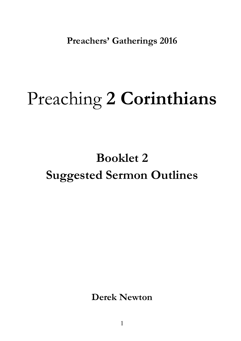**Preachers' Gatherings 2016** 

# Preaching **2 Corinthians**

### **Booklet 2 Suggested Sermon Outlines**

**Derek Newton**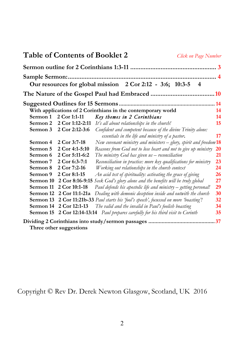|                     | <b>Table of Contents of Booklet 2</b> | Click on Page Number                                                                                             |    |
|---------------------|---------------------------------------|------------------------------------------------------------------------------------------------------------------|----|
|                     |                                       |                                                                                                                  |    |
| Sample Sermon:      |                                       | Our resources for global mission 2 Cor 2:12 - 3:6; 10:3-5<br>-4                                                  |    |
|                     |                                       |                                                                                                                  |    |
|                     |                                       | With applications of 2 Corinthians in the contemporary world                                                     | 14 |
| Sermon 1            | 2 Cor 1:1-11                          | Key themes in 2 Corinthians                                                                                      | 14 |
| Sermon 2            | 2 Cor 1:12-2:11                       | It's all about relationships in the church!                                                                      | 15 |
| Sermon 3            | 2 Cor 2:12-3:6                        | Confident and competent because of the divine Trinity alone:<br>essentials in the life and ministry of a pastor. | 17 |
| Sermon 4            | 2 Cor 3:7-18                          | New covenant ministry and ministers $-$ glory, spirit and freedom $18$                                           |    |
| Sermon 5            | 2 Cor 4:1-5:10                        | Reasons from God not to lose heart and not to give up ministry                                                   | 20 |
| Sermon 6            | 2 Cor 5:11-6:2                        | The ministry God has given $us$ – reconciliation                                                                 | 21 |
| Sermon <sub>7</sub> | 2 Cor 6:3-7:1                         | Reconciliation in practice: more key qualifications for ministry                                                 | 23 |
| Sermon <sub>8</sub> | 2 Cor 7:2-16                          | Working out relationships in the church context                                                                  | 24 |
| Sermon 9            | 2 Cor 8:1-15                          | An acid test of spirituality: activating the grace of giving                                                     | 26 |
| Sermon 10           | 2 Cor 8:16-9:15                       | Seek God's glory alone and the benefits will be truly global                                                     | 27 |
| Sermon 11           | 2 Cor 10:1-18                         | Paul defends his apostolic life and ministry – getting personal!                                                 | 29 |
| Sermon 12           | 2 Cor 11:1-21a                        | Dealing with demonic deception inside and outwith the church                                                     | 30 |
| Sermon 13           |                                       | 2 Cor 11:21b-33 Paul starts his 'fool's speech', focussed on more 'boasting'!                                    | 32 |
| Sermon 14           | 2 Cor 12:1-13                         | The valid and the invalid in Paul's foolish boasting                                                             | 34 |
| Sermon 15           | 2 Cor 12:14-13:14                     | Paul prepares carefully for his third visit to Corinth                                                           | 35 |
|                     |                                       |                                                                                                                  |    |
|                     | Three other suggestions               |                                                                                                                  |    |

Copyright © Rev Dr. Derek Newton Glasgow, Scotland, UK 2016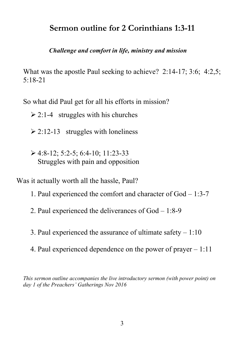#### **Sermon outline for 2 Corinthians 1:3-11**

#### *Challenge and comfort in life, ministry and mission*

What was the apostle Paul seeking to achieve?2:14-17; 3:6; 4:2,5; 5:18-21

So what did Paul get for all his efforts in mission?

 $\ge 2:1-4$  struggles with his churches

 $\geq$  2:12-13 struggles with loneliness

 $\geq 4:8-12:5:2-5:6:4-10:11:23-33$ Struggles with pain and opposition

Was it actually worth all the hassle, Paul?

- 1. Paul experienced the comfort and character of God 1:3-7
- 2. Paul experienced the deliverances of God 1:8-9
- 3. Paul experienced the assurance of ultimate safety 1:10
- 4. Paul experienced dependence on the power of prayer 1:11

*This sermon outline accompanies the live introductory sermon (with power point) on day 1 of the Preachers' Gatherings Nov 2016*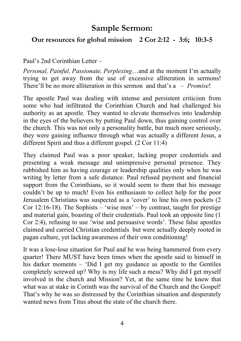#### **Sample Sermon:**

#### **Our resources for global mission 2 Cor 2:12 - 3:6; 10:3-5**

Paul's 2nd Corinthian Letter –

*Personal, Painful, Passionate, Perplexing*…and at the moment I'm actually trying to get away from the use of excessive alliteration in sermons! There'll be no more alliteration in this sermon and that's a – *Promise*!

The apostle Paul was dealing with intense and persistent criticism from some who had infiltrated the Corinthian Church and had challenged his authority as an apostle. They wanted to elevate themselves into leadership in the eyes of the believers by putting Paul down, thus gaining control over the church. This was not only a personality battle, but much more seriously, they were gaining influence through what was actually a different Jesus, a different Spirit and thus a different gospel. (2 Cor 11:4)

They claimed Paul was a poor speaker, lacking proper credentials and presenting a weak message and unimpressive personal presence. They rubbished him as having courage or leadership qualities only when he was writing by letter from a safe distance. Paul refused payment and financial support from the Corinthians, so it would seem to them that his message couldn't be up to much! Even his enthusiasm to collect help for the poor Jerusalem Christians was suspected as a 'cover' to line his own pockets (2 Cor 12:16-18). The Sophists – 'wise men' – by contrast, taught for prestige and material gain, boasting of their credentials. Paul took an opposite line (1 Cor 2:4), refusing to use 'wise and persuasive words'. These false apostles claimed and carried Christian credentials but were actually deeply rooted in pagan culture, yet lacking awareness of their own conditioning!

It was a lose-lose situation for Paul and he was being hammered from every quarter! There MUST have been times when the apostle said to himself in his darker moments – 'Did I get my guidance as apostle to the Gentiles completely screwed up? Why is my life such a mess? Why did I get myself involved in the church and Mission? Yet, at the same time he knew that what was at stake in Corinth was the survival of the Church and the Gospel! That's why he was so distressed by the Corinthian situation and desperately wanted news from Titus about the state of the church there.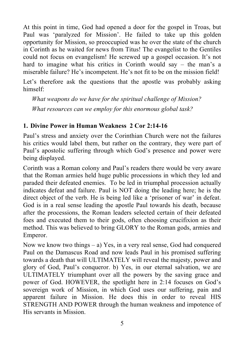At this point in time, God had opened a door for the gospel in Troas, but Paul was 'paralyzed for Mission'. He failed to take up this golden opportunity for Mission, so preoccupied was he over the state of the church in Corinth as he waited for news from Titus! The evangelist to the Gentiles could not focus on evangelism! He screwed up a gospel occasion. It's not hard to imagine what his critics in Corinth would say – the man's a miserable failure? He's incompetent. He's not fit to be on the mission field!

Let's therefore ask the questions that the apostle was probably asking himself:

*What weapons do we have for the spiritual challenge of Mission? What resources can we employ for this enormous global task?*

#### **1. Divine Power in Human Weakness 2 Cor 2:14-16**

Paul's stress and anxiety over the Corinthian Church were not the failures his critics would label them, but rather on the contrary, they were part of Paul's apostolic suffering through which God's presence and power were being displayed.

Corinth was a Roman colony and Paul's readers there would be very aware that the Roman armies held huge public processions in which they led and paraded their defeated enemies. To be led in triumphal procession actually indicates defeat and failure. Paul is NOT doing the leading here; he is the direct object of the verb. He is being led like a 'prisoner of war' in defeat. God is in a real sense leading the apostle Paul towards his death, because after the processions, the Roman leaders selected certain of their defeated foes and executed them to their gods, often choosing crucifixion as their method. This was believed to bring GLORY to the Roman gods, armies and Emperor.

Now we know two things – a) Yes, in a very real sense, God had conquered Paul on the Damascus Road and now leads Paul in his promised suffering towards a death that will ULTIMATELY will reveal the majesty, power and glory of God, Paul's conqueror. b) Yes, in our eternal salvation, we are ULTIMATELY triumphant over all the powers by the saving grace and power of God. HOWEVER, the spotlight here in 2:14 focuses on God's sovereign work of Mission, in which God uses our suffering, pain and apparent failure in Mission. He does this in order to reveal HIS STRENGTH AND POWER through the human weakness and impotence of His servants in Mission.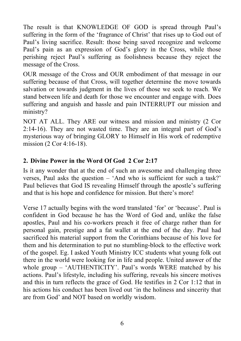The result is that KNOWLEDGE OF GOD is spread through Paul's suffering in the form of the 'fragrance of Christ' that rises up to God out of Paul's living sacrifice. Result: those being saved recognize and welcome Paul's pain as an expression of God's glory in the Cross, while those perishing reject Paul's suffering as foolishness because they reject the message of the Cross.

OUR message of the Cross and OUR embodiment of that message in our suffering because of that Cross, will together determine the move towards salvation or towards judgment in the lives of those we seek to reach. We stand between life and death for those we encounter and engage with. Does suffering and anguish and hassle and pain INTERRUPT our mission and ministry?

NOT AT ALL. They ARE our witness and mission and ministry (2 Cor 2:14-16). They are not wasted time. They are an integral part of God's mysterious way of bringing GLORY to Himself in His work of redemptive mission (2 Cor 4:16-18).

#### **2. Divine Power in the Word Of God 2 Cor 2:17**

Is it any wonder that at the end of such an awesome and challenging three verses, Paul asks the question – 'And who is sufficient for such a task?' Paul believes that God IS revealing Himself through the apostle's suffering and that is his hope and confidence for mission. But there's more!

Verse 17 actually begins with the word translated 'for' or 'because'. Paul is confident in God because he has the Word of God and, unlike the false apostles, Paul and his co-workers preach it free of charge rather than for personal gain, prestige and a fat wallet at the end of the day. Paul had sacrificed his material support from the Corinthians because of his love for them and his determination to put no stumbling-block to the effective work of the gospel. Eg. I asked Youth Ministry ICC students what young folk out there in the world were looking for in life and people. United answer of the whole group – 'AUTHENTICITY'. Paul's words WERE matched by his actions. Paul's lifestyle, including his suffering, reveals his sincere motives and this in turn reflects the grace of God. He testifies in 2 Cor 1:12 that in his actions his conduct has been lived out 'in the holiness and sincerity that are from God' and NOT based on worldly wisdom.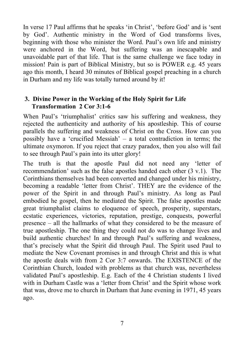In verse 17 Paul affirms that he speaks 'in Christ', 'before God' and is 'sent by God'. Authentic ministry in the Word of God transforms lives, beginning with those who minister the Word. Paul's own life and ministry were anchored in the Word, but suffering was an inescapable and unavoidable part of that life. That is the same challenge we face today in mission! Pain is part of Biblical Ministry, but so is POWER e.g. 45 years ago this month, I heard 30 minutes of Biblical gospel preaching in a church in Durham and my life was totally turned around by it!

#### **3. Divine Power in the Working of the Holy Spirit for Life Transformation 2 Cor 3:1-6**

When Paul's 'triumphalist' critics saw his suffering and weakness, they rejected the authenticity and authority of his apostleship. This of course parallels the suffering and weakness of Christ on the Cross. How can you possibly have a 'crucified Messiah' – a total contradiction in terms; the ultimate oxymoron. If you reject that crazy paradox, then you also will fail to see through Paul's pain into its utter glory!

The truth is that the apostle Paul did not need any 'letter of recommendation' such as the false apostles handed each other (3 v.1). The Corinthians themselves had been converted and changed under his ministry, becoming a readable 'letter from Christ'. THEY are the evidence of the power of the Spirit in and through Paul's ministry. As long as Paul embodied he gospel, then he mediated the Spirit. The false apostles made great triumphalist claims to eloquence of speech, prosperity, superstars, ecstatic experiences, victories, reputation, prestige, conquests, powerful presence – all the hallmarks of what they considered to be the measure of true apostleship. The one thing they could not do was to change lives and build authentic churches! In and through Paul's suffering and weakness, that's precisely what the Spirit did through Paul. The Spirit used Paul to mediate the New Covenant promises in and through Christ and this is what the apostle deals with from 2 Cor 3:7 onwards. The EXISTENCE of the Corinthian Church, loaded with problems as that church was, nevertheless validated Paul's apostleship. E.g. Each of the 4 Christian students I lived with in Durham Castle was a 'letter from Christ' and the Spirit whose work that was, drove me to church in Durham that June evening in 1971, 45 years ago.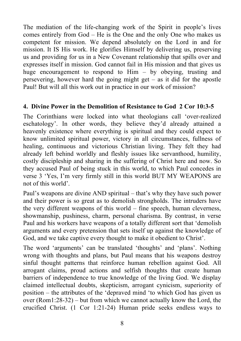The mediation of the life-changing work of the Spirit in people's lives comes entirely from God – He is the One and the only One who makes us competent for mission. We depend absolutely on the Lord in and for mission. It IS His work. He glorifies Himself by delivering us, preserving us and providing for us in a New Covenant relationship that spills over and expresses itself in mission. God cannot fail in His mission and that gives us huge encouragement to respond to Him – by obeying, trusting and persevering, however hard the going might get  $-$  as it did for the apostle Paul! But will all this work out in practice in our work of mission?

#### **4. Divine Power in the Demolition of Resistance to God 2 Cor 10:3-5**

The Corinthians were locked into what theologians call 'over-realized eschatology'. In other words, they believe they'd already attained a heavenly existence where everything is spiritual and they could expect to know unlimited spiritual power, victory in all circumstances, fullness of healing, continuous and victorious Christian living. They felt they had already left behind worldly and fleshly issues like servanthood, humility, costly discipleship and sharing in the suffering of Christ here and now. So they accused Paul of being stuck in this world, to which Paul concedes in verse 3 'Yes, I'm very firmly still in this world BUT MY WEAPONS are not of this world'.

Paul's weapons are divine AND spiritual – that's why they have such power and their power is so great as to demolish strongholds. The intruders have the very different weapons of this world – fine speech, human cleverness, showmanship, pushiness, charm, personal charisma. By contrast, in verse Paul and his workers have weapons of a totally different sort that 'demolish arguments and every pretension that sets itself up against the knowledge of God, and we take captive every thought to make it obedient to Christ'.

The word 'arguments' can be translated 'thoughts' and 'plans'. Nothing wrong with thoughts and plans, but Paul means that his weapons destroy sinful thought patterns that reinforce human rebellion against God. All arrogant claims, proud actions and selfish thoughts that create human barriers of independence to true knowledge of the living God. We display claimed intellectual doubts, skepticism, arrogant cynicism, superiority of position – the attributes of the 'depraved mind 'to which God has given us over (Rom1:28-32) – but from which we cannot actually know the Lord, the crucified Christ. (1 Cor 1:21-24) Human pride seeks endless ways to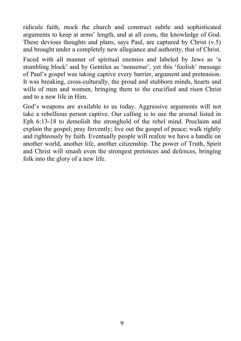ridicule faith, mock the church and construct subtle and sophisticated arguments to keep at arms' length, and at all costs, the knowledge of God. These devious thoughts and plans, says Paul, are captured by Christ (v.5) and brought under a completely new allegiance and authority, that of Christ.

Faced with all manner of spiritual enemies and labeled by Jews as 'a stumbling block' and by Gentiles as 'nonsense', yet this 'foolish' message of Paul's gospel was taking captive every barrier, argument and pretension. It was breaking, cross-culturally, the proud and stubborn minds, hearts and wills of men and women, bringing them to the crucified and risen Christ and to a new life in Him.

God's weapons are available to us today. Aggressive arguments will not take a rebellious person captive. Our calling is to use the arsenal listed in Eph 6:13-18 to demolish the stronghold of the rebel mind. Proclaim and explain the gospel; pray fervently; live out the gospel of peace; walk rightly and righteously by faith. Eventually people will realize we have a handle on another world, another life, another citizenship. The power of Truth, Spirit and Christ will smash even the strongest pretences and defences, bringing folk into the glory of a new life.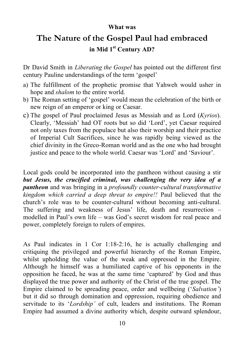#### **What was**

### **The Nature of the Gospel Paul had embraced in Mid 1st Century AD?**

Dr David Smith in *Liberating the Gospel* has pointed out the different first century Pauline understandings of the term 'gospel'

- a) The fulfillment of the prophetic promise that Yahweh would usher in hope and *shalom* to the entire world.
- b) The Roman setting of 'gospel' would mean the celebration of the birth or new reign of an emperor or king or Caesar.
- c) The gospel of Paul proclaimed Jesus as Messiah and as Lord (*Kyrios*). Clearly, 'Messiah' had OT roots but so did 'Lord', yet Caesar required not only taxes from the populace but also their worship and their practice of Imperial Cult Sacrifices, since he was rapidly being viewed as the chief divinity in the Greco-Roman world and as the one who had brought justice and peace to the whole world. Caesar was 'Lord' and 'Saviour'.

Local gods could be incorporated into the pantheon without causing a stir *but Jesus, the crucified criminal, was challenging the very idea of a pantheon* and was bringing in a *profoundly counter-cultural transformative kingdom which carried a deep threat to empire!!* Paul believed that the church's role was to be counter-cultural without becoming anti-cultural. The suffering and weakness of Jesus' life, death and resurrection – modelled in Paul's own life – was God's secret wisdom for real peace and power, completely foreign to rulers of empires.

As Paul indicates in 1 Cor 1:18-2:16, he is actually challenging and critiquing the privileged and powerful hierarchy of the Roman Empire, whilst upholding the value of the weak and oppressed in the Empire. Although he himself was a humiliated captive of his opponents in the opposition he faced, he was at the same time 'captured' by God and thus displayed the true power and authority of the Christ of the true gospel. The Empire claimed to be spreading peace, order and wellbeing ('*Salvation'*) but it did so through domination and oppression, requiring obedience and servitude to its '*Lordship'* of cult, leaders and institutions. The Roman Empire had assumed a divine authority which, despite outward splendour,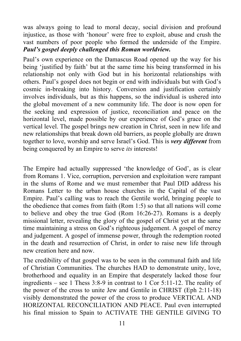was always going to lead to moral decay, social division and profound injustice, as those with 'honour' were free to exploit, abuse and crush the vast numbers of poor people who formed the underside of the Empire. *Paul's gospel deeply challenged this Roman worldview.*

Paul's own experience on the Damascus Road opened up the way for his being 'justified by faith' but at the same time his being transformed in his relationship not only with God but in his horizontal relationships with others. Paul's gospel does not begin or end with individuals but with God's cosmic in-breaking into history. Conversion and justification certainly involves individuals, but as this happens, so the individual is ushered into the global movement of a new community life. The door is now open for the seeking and expression of justice, reconciliation and peace on the horizontal level, made possible by our experience of God's grace on the vertical level. The gospel brings new creation in Christ, seen in new life and new relationships that break down old barriers, as people globally are drawn together to love, worship and serve Israel's God. This is *very different* from being conquered by an Empire to serve *its* interests!

The Empire had actually suppressed 'the knowledge of God', as is clear from Romans 1. Vice, corruption, perversion and exploitation were rampant in the slums of Rome and we must remember that Paul DID address his Romans Letter to the urban house churches in the Capital of the vast Empire. Paul's calling was to reach the Gentile world, bringing people to the obedience that comes from faith (Rom 1:5) so that all nations will come to believe and obey the true God (Rom 16:26-27). Romans is a deeply missional letter, revealing the glory of the gospel of Christ yet at the same time maintaining a stress on God's righteous judgement. A gospel of mercy and judgement. A gospel of immense power, through the redemption rooted in the death and resurrection of Christ, in order to raise new life through new creation here and now.

The credibility of that gospel was to be seen in the communal faith and life of Christian Communities. The churches HAD to demonstrate unity, love, brotherhood and equality in an Empire that desperately lacked those four ingredients – see 1 Thess 3:8-9 in contrast to 1 Cor 5:11-12. The reality of the power of the cross to unite Jew and Gentile in CHRIST (Eph 2:11-18) visibly demonstrated the power of the cross to produce VERTICAL AND HORIZONTAL RECONCILIATION AND PEACE. Paul even interrupted his final mission to Spain to ACTIVATE THE GENTILE GIVING TO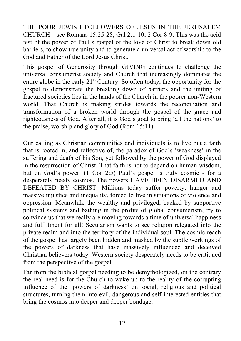THE POOR JEWISH FOLLOWERS OF JESUS IN THE JERUSALEM CHURCH – see Romans 15:25-28; Gal 2:1-10; 2 Cor 8-9. This was the acid test of the power of Paul's gospel of the love of Christ to break down old barriers, to show true unity and to generate a universal act of worship to the God and Father of the Lord Jesus Christ.

This gospel of Generosity through GIVING continues to challenge the universal consumerist society and Church that increasingly dominates the entire globe in the early  $21<sup>st</sup>$  Century. So often today, the opportunity for the gospel to demonstrate the breaking down of barriers and the uniting of fractured societies lies in the hands of the Church in the poorer non-Western world. That Church is making strides towards the reconciliation and transformation of a broken world through the gospel of the grace and righteousness of God. After all, it is God's goal to bring 'all the nations' to the praise, worship and glory of God (Rom 15:11).

Our calling as Christian communities and individuals is to live out a faith that is rooted in, and reflective of, the paradox of God's 'weakness' in the suffering and death of his Son, yet followed by the power of God displayed in the resurrection of Christ. That faith is not to depend on human wisdom, but on God's power. (1 Cor 2:5) Paul's gospel is truly cosmic - for a desperately needy cosmos. The powers HAVE BEEN DISARMED AND DEFEATED BY CHRIST. Millions today suffer poverty, hunger and massive injustice and inequality, forced to live in situations of violence and oppression. Meanwhile the wealthy and privileged, backed by supportive political systems and bathing in the profits of global consumerism, try to convince us that we really are moving towards a time of universal happiness and fulfillment for all! Secularism wants to see religion relegated into the private realm and into the territory of the individual soul. The cosmic reach of the gospel has largely been hidden and masked by the subtle workings of the powers of darkness that have massively influenced and deceived Christian believers today. Western society desperately needs to be critiqued from the perspective of the gospel.

Far from the biblical gospel needing to be demythologized, on the contrary the real need is for the Church to wake up to the reality of the corrupting influence of the 'powers of darkness' on social, religious and political structures, turning them into evil, dangerous and self-interested entities that bring the cosmos into deeper and deeper bondage.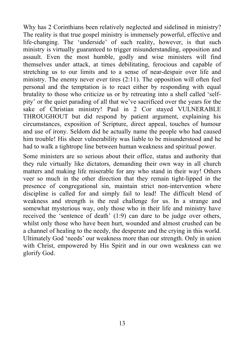Why has 2 Corinthians been relatively neglected and sidelined in ministry? The reality is that true gospel ministry is immensely powerful, effective and life-changing. The 'underside' of such reality, however, is that such ministry is virtually guaranteed to trigger misunderstanding, opposition and assault. Even the most humble, godly and wise ministers will find themselves under attack, at times debilitating, ferocious and capable of stretching us to our limits and to a sense of near-despair over life and ministry. The enemy never ever tires (2:11). The opposition will often feel personal and the temptation is to react either by responding with equal brutality to those who criticize us or by retreating into a shell called 'selfpity' or the quiet parading of all that we've sacrificed over the years for the sake of Christian ministry! Paul in 2 Cor stayed VULNERABLE THROUGHOUT but did respond by patient argument, explaining his circumstances, exposition of Scripture, direct appeal, touches of humour and use of irony. Seldom did he actually name the people who had caused him trouble! His sheer vulnerability was liable to be misunderstood and he had to walk a tightrope line between human weakness and spiritual power.

Some ministers are so serious about their office, status and authority that they rule virtually like dictators, demanding their own way in all church matters and making life miserable for any who stand in their way! Others veer so much in the other direction that they remain tight-lipped in the presence of congregational sin, maintain strict non-intervention where discipline is called for and simply fail to lead! The difficult blend of weakness and strength is the real challenge for us. In a strange and somewhat mysterious way, only those who in their life and ministry have received the 'sentence of death' (1:9) can dare to be judge over others, whilst only those who have been hurt, wounded and almost crushed can be a channel of healing to the needy, the desperate and the crying in this world. Ultimately God 'needs' our weakness more than our strength. Only in union with Christ, empowered by His Spirit and in our own weakness can we glorify God.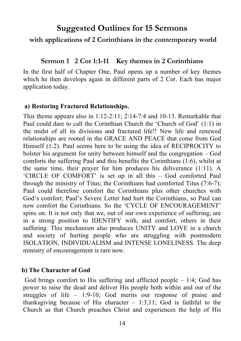#### **Suggested Outlines for 15 Sermons**

#### **with applications of 2 Corinthians in the contemporary world**

#### **Sermon 1 2 Cor 1:1-11 Key themes in 2 Corinthians**

In the first half of Chapter One, Paul opens up a number of key themes which he then develops again in different parts of 2 Cor. Each has major application today.

#### **a) Restoring Fractured Relationships.**

This theme appears also in 1:12-2:11; 2:14-7:4 and 10-13. Remarkable that Paul could dare to call the Corinthian Church the 'Church of God' (1:1) in the midst of all its divisions and fractured life!! New life and renewed relationships are rooted in the GRACE AND PEACE that come from God Himself (1:2). Paul seems here to be using the idea of RECIPROCITY to bolster his argument for unity between himself and the congregation – God comforts the suffering Paul and this benefits the Corinthians (1:6), whilst at the same time, their prayer for him produces his deliverance (1:11). A 'CIRCLE OF COMFORT' is set up in all this – God comforted Paul through the ministry of Titus; the Corinthians had comforted Titus (7:6-7); Paul could therefore comfort the Corinthians plus other churches with God's comfort; Paul's Severe Letter had hurt the Corinthians, so Paul can now comfort the Corinthians. So the 'CYCLE OF ENCOURAGEMENT' spins on. It is not only that we, out of our own experience of suffering, are in a strong position to IDENTIFY with, and comfort, others in their suffering. This mechanism also produces UNITY and LOVE in a church and society of hurting people who are struggling with postmodern ISOLATION, INDIVIDUALISM and INTENSE LONELINESS. The deep ministry of encouragement is rare now.

#### **b) The Character of God**

God brings comfort to His suffering and afflicted people  $-1:4$ ; God has power to raise the dead and deliver His people both within and out of the struggles of life – 1:9-10; God merits our response of praise and thanksgiving because of His character  $-1:3,11$ ; God is faithful to the Church as that Church preaches Christ and experiences the help of His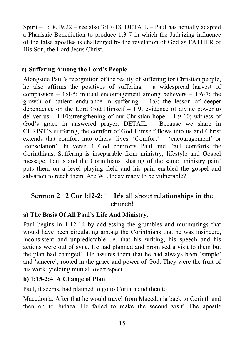Spirit – 1:18,19,22 – see also 3:17-18. DETAIL – Paul has actually adapted a Pharisaic Benediction to produce 1:3-7 in which the Judaizing influence of the false apostles is challenged by the revelation of God as FATHER of His Son, the Lord Jesus Christ.

#### **c) Suffering Among the Lord's People**.

Alongside Paul's recognition of the reality of suffering for Christian people, he also affirms the positives of suffering – a widespread harvest of compassion  $-1:4-5$ ; mutual encouragement among believers  $-1:6-7$ ; the growth of patient endurance in suffering – 1:6; the lesson of deeper dependence on the Lord God Himself – 1:9; evidence of divine power to deliver us  $-1:10$ ; strengthening of our Christian hope  $-1:9-10$ ; witness of God's grace in answered prayer. DETAIL – Because we share in CHRIST'S suffering, the comfort of God Himself flows into us and Christ extends that comfort into others' lives. 'Comfort' = 'encouragement' or 'consolation'. In verse 4 God comforts Paul and Paul comforts the Corinthians. Suffering is inseparable from ministry, lifestyle and Gospel message. Paul's and the Corinthians' sharing of the same 'ministry pain' puts them on a level playing field and his pain enabled the gospel and salvation to reach them. Are WE today ready to be vulnerable?

#### **Sermon 2 2 Cor 1:12-2:11 It's all about relationships in the church!**

#### **a) The Basis Of All Paul's Life And Ministry.**

Paul begins in 1:12-14 by addressing the grumbles and murmurings that would have been circulating among the Corinthians that he was insincere, inconsistent and unpredictable i.e. that his writing, his speech and his actions were out of sync. He had planned and promised a visit to them but the plan had changed! He assures them that he had always been 'simple' and 'sincere', rooted in the grace and power of God. They were the fruit of his work, yielding mutual love/respect.

#### **b) 1:15-2:4 A Change of Plan**

Paul, it seems, had planned to go to Corinth and then to

Macedonia. After that he would travel from Macedonia back to Corinth and then on to Judaea. He failed to make the second visit! The apostle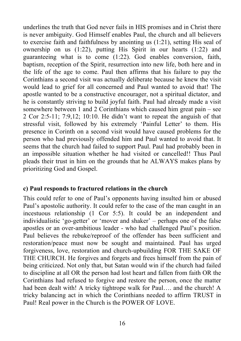underlines the truth that God never fails in HIS promises and in Christ there is never ambiguity. God Himself enables Paul, the church and all believers to exercise faith and faithfulness by anointing us (1:21), setting His seal of ownership on us (1:22), putting His Spirit in our hearts (1:22) and guaranteeing what is to come (1:22). God enables conversion, faith, baptism, reception of the Spirit, resurrection into new life, both here and in the life of the age to come. Paul then affirms that his failure to pay the Corinthians a second visit was actually deliberate because he knew the visit would lead to grief for all concerned and Paul wanted to avoid that! The apostle wanted to be a constructive encourager, not a spiritual dictator, and he is constantly striving to build joyful faith. Paul had already made a visit somewhere between 1 and 2 Corinthians which caused him great pain – see 2 Cor 2:5-11; 7:9,12; 10:10. He didn't want to repeat the anguish of that stressful visit, followed by his extremely 'Painful Letter' to them. His presence in Corinth on a second visit would have caused problems for the person who had previously offended him and Paul wanted to avoid that. It seems that the church had failed to support Paul. Paul had probably been in an impossible situation whether he had visited or cancelled!! Thus Paul pleads their trust in him on the grounds that he ALWAYS makes plans by prioritizing God and Gospel.

#### **c) Paul responds to fractured relations in the church**

This could refer to one of Paul's opponents having insulted him or abused Paul's apostolic authority. It could refer to the case of the man caught in an incestuous relationship (1 Cor 5:5). It could be an independent and individualistic 'go-getter' or 'mover and shaker' – perhaps one of the false apostles or an over-ambitious leader - who had challenged Paul's position. Paul believes the rebuke/reproof of the offender has been sufficient and restoration/peace must now be sought and maintained. Paul has urged forgiveness, love, restoration and church-upbuilding FOR THE SAKE OF THE CHURCH. He forgives and forgets and frees himself from the pain of being criticized. Not only that, but Satan would win if the church had failed to discipline at all OR the person had lost heart and fallen from faith OR the Corinthians had refused to forgive and restore the person, once the matter had been dealt with! A tricky tightrope walk for Paul…. and the church! A tricky balancing act in which the Corinthians needed to affirm TRUST in Paul! Real power in the Church is the POWER OF LOVE.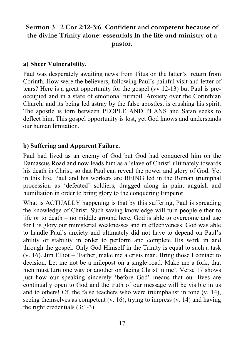#### **Sermon 3 2 Cor 2:12-3:6 Confident and competent because of the divine Trinity alone: essentials in the life and ministry of a pastor.**

#### **a) Sheer Vulnerability.**

Paul was desperately awaiting news from Titus on the latter's return from Corinth. How were the believers, following Paul's painful visit and letter of tears? Here is a great opportunity for the gospel (vv 12-13) but Paul is preoccupied and in a stare of emotional turmoil. Anxiety over the Corinthian Church, and its being led astray by the false apostles, is crushing his spirit. The apostle is torn between PEOPLE AND PLANS and Satan seeks to deflect him. This gospel opportunity is lost, yet God knows and understands our human limitation.

#### **b) Suffering and Apparent Failure.**

Paul had lived as an enemy of God but God had conquered him on the Damascus Road and now leads him as a 'slave of Christ' ultimately towards his death in Christ, so that Paul can reveal the power and glory of God. Yet in this life, Paul and his workers are BEING led in the Roman triumphal procession as 'defeated' soldiers, dragged along in pain, anguish and humiliation in order to bring glory to the conquering Emperor.

What is ACTUALLY happening is that by this suffering, Paul is spreading the knowledge of Christ. Such saving knowledge will turn people either to life or to death – no middle ground here. God is able to overcome and use for His glory our ministerial weaknesses and in effectiveness. God was able to handle Paul's anxiety and ultimately did not have to depend on Paul's ability or stability in order to perform and complete His work in and through the gospel. Only God Himself in the Trinity is equal to such a task (v. 16). Jim Elliot – 'Father, make me a crisis man. Bring those I contact to decision. Let me not be a milepost on a single road. Make me a fork, that men must turn one way or another on facing Christ in me'. Verse 17 shows just how our speaking sincerely 'before God' means that our lives are continually open to God and the truth of our message will be visible in us and to others! Cf. the false teachers who were triumphalist in tone (v. 14), seeing themselves as competent (v. 16), trying to impress (v. 14) and having the right credentials (3:1-3).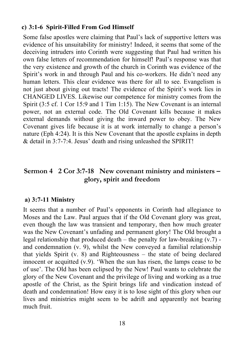#### **c) 3:1-6 Spirit-Filled From God Himself**

Some false apostles were claiming that Paul's lack of supportive letters was evidence of his unsuitability for ministry! Indeed, it seems that some of the deceiving intruders into Corinth were suggesting that Paul had written his own false letters of recommendation for himself! Paul's response was that the very existence and growth of the church in Corinth was evidence of the Spirit's work in and through Paul and his co-workers. He didn't need any human letters. This clear evidence was there for all to see. Evangelism is not just about giving out tracts! The evidence of the Spirit's work lies in CHANGED LIVES. Likewise our competence for ministry comes from the Spirit (3:5 cf. 1 Cor 15:9 and 1 Tim 1:15). The New Covenant is an internal power, not an external code. The Old Covenant kills because it makes external demands without giving the inward power to obey. The New Covenant gives life because it is at work internally to change a person's nature (Eph 4:24). It is this New Covenant that the apostle explains in depth & detail in 3:7-7:4. Jesus' death and rising unleashed the SPIRIT!

#### **Sermon 4 2 Cor 3:7-18 New covenant ministry and ministers – glory, spirit and freedom**

#### **a) 3:7-11 Ministry**

It seems that a number of Paul's opponents in Corinth had allegiance to Moses and the Law. Paul argues that if the Old Covenant glory was great, even though the law was transient and temporary, then how much greater was the New Covenant's unfading and permanent glory! The Old brought a legal relationship that produced death – the penalty for law-breaking (v.7) and condemnation (v. 9), whilst the New conveyed a familial relationship that yields Spirit (v. 8) and Righteousness – the state of being declared innocent or acquitted (v.9). 'When the sun has risen, the lamps cease to be of use'. The Old has been eclipsed by the New! Paul wants to celebrate the glory of the New Covenant and the privilege of living and working as a true apostle of the Christ, as the Spirit brings life and vindication instead of death and condemnation! How easy it is to lose sight of this glory when our lives and ministries might seem to be adrift and apparently not bearing much fruit.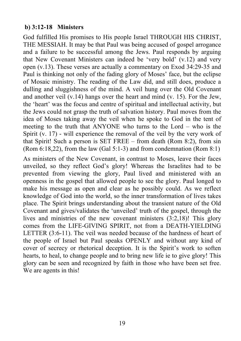#### **b) 3:12-18 Ministers**

God fulfilled His promises to His people Israel THROUGH HIS CHRIST, THE MESSIAH. It may be that Paul was being accused of gospel arrogance and a failure to be successful among the Jews. Paul responds by arguing that New Covenant Ministers can indeed be 'very bold' (v.12) and very open (v.13). These verses are actually a commentary on Exod 34:29-35 and Paul is thinking not only of the fading glory of Moses' face, but the eclipse of Mosaic ministry. The reading of the Law did, and still does, produce a dulling and sluggishness of the mind. A veil hung over the Old Covenant and another veil (v.14) hangs over the heart and mind (v. 15). For the Jew, the 'heart' was the focus and centre of spiritual and intellectual activity, but the Jews could not grasp the truth of salvation history. Paul moves from the idea of Moses taking away the veil when he spoke to God in the tent of meeting to the truth that ANYONE who turns to the Lord – who is the Spirit (v. 17) - will experience the removal of the veil by the very work of that Spirit! Such a person is SET FREE – from death (Rom 8:2), from sin (Rom 6:18,22), from the law (Gal 5:1-3) and from condemnation (Rom 8:1)

As ministers of the New Covenant, in contrast to Moses, leave their faces unveiled, so they reflect God's glory! Whereas the Israelites had to be prevented from viewing the glory, Paul lived and ministered with an openness in the gospel that allowed people to see the glory. Paul longed to make his message as open and clear as he possibly could. As we reflect knowledge of God into the world, so the inner transformation of lives takes place. The Spirit brings understanding about the transient nature of the Old Covenant and gives/validates the 'unveiled' truth of the gospel, through the lives and ministries of the new covenant ministers (3:2,18)! This glory comes from the LIFE-GIVING SPIRIT, not from a DEATH-YIELDING LETTER (3:6-11). The veil was needed because of the hardness of heart of the people of Israel but Paul speaks OPENLY and without any kind of cover of secrecy or rhetorical deception. It is the Spirit's work to soften hearts, to heal, to change people and to bring new life ie to give glory! This glory can be seen and recognized by faith in those who have been set free. We are agents in this!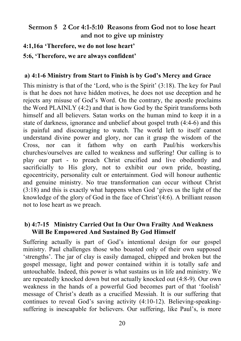#### **Sermon 5 2 Cor 4:1-5:10 Reasons from God not to lose heart and not to give up ministry**

**4:1,16a 'Therefore, we do not lose heart'** 

**5:6, 'Therefore, we are always confident'**

#### **a) 4:1-6 Ministry from Start to Finish is by God's Mercy and Grace**

This ministry is that of the 'Lord, who is the Spirit' (3:18). The key for Paul is that he does not have hidden motives, he does not use deception and he rejects any misuse of God's Word. On the contrary, the apostle proclaims the Word PLAINLY (4:2) and that is how God by the Spirit transforms both himself and all believers. Satan works on the human mind to keep it in a state of darkness, ignorance and unbelief about gospel truth (4:4-6) and this is painful and discouraging to watch. The world left to itself cannot understand divine power and glory, nor can it grasp the wisdom of the Cross, nor can it fathom why on earth Paul/his workers/his churches/ourselves are called to weakness and suffering! Our calling is to play our part - to preach Christ crucified and live obediently and sacrificially to His glory, not to exhibit our own pride, boasting, egocentricity, personality cult or entertainment. God will honour authentic and genuine ministry. No true transformation can occur without Christ (3:18) and this is exactly what happens when God 'gives us the light of the knowledge of the glory of God in the face of Christ'(4:6). A brilliant reason not to lose heart as we preach.

#### **b) 4:7-15 Ministry Carried Out In Our Own Frailty And Weakness Will Be Empowered And Sustained By God Himself**

Suffering actually is part of God's intentional design for our gospel ministry. Paul challenges those who boasted only of their own supposed 'strengths'. The jar of clay is easily damaged, chipped and broken but the gospel message, light and power contained within it is totally safe and untouchable. Indeed, this power is what sustains us in life and ministry. We are repeatedly knocked down but not actually knocked out (4:8-9). Our own weakness in the hands of a powerful God becomes part of that 'foolish' message of Christ's death as a crucified Messiah. It is our suffering that continues to reveal God's saving activity (4:10-12). Believing-speakingsuffering is inescapable for believers. Our suffering, like Paul's, is more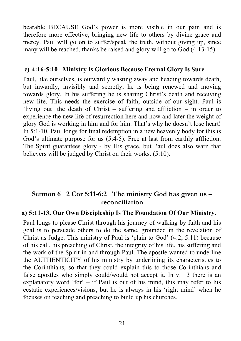bearable BECAUSE God's power is more visible in our pain and is therefore more effective, bringing new life to others by divine grace and mercy. Paul will go on to suffer/speak the truth, without giving up, since many will be reached, thanks be raised and glory will go to God (4:13-15).

#### **c) 4:16-5:10 Ministry Is Glorious Because Eternal Glory Is Sure**

Paul, like ourselves, is outwardly wasting away and heading towards death, but inwardly, invisibly and secretly, he is being renewed and moving towards glory. In his suffering he is sharing Christ's death and receiving new life. This needs the exercise of faith, outside of our sight. Paul is 'living out' the death of Christ – suffering and affliction – in order to experience the new life of resurrection here and now and later the weight of glory God is working in him and for him. That's why he doesn't lose heart! In 5:1-10, Paul longs for final redemption in a new heavenly body for this is God's ultimate purpose for us  $(5:4-5)$ . Free at last from earthly affliction. The Spirit guarantees glory - by His grace, but Paul does also warn that believers will be judged by Christ on their works. (5:10).

#### **Sermon 6 2 Cor 5:11-6:2 The ministry God has given us – reconciliation**

#### **a) 5:11-13. Our Own Discipleship Is The Foundation Of Our Ministry.**

Paul longs to please Christ through his journey of walking by faith and his goal is to persuade others to do the same, grounded in the revelation of Christ as Judge. This ministry of Paul is 'plain to God' (4:2; 5:11) because of his call, his preaching of Christ, the integrity of his life, his suffering and the work of the Spirit in and through Paul. The apostle wanted to underline the AUTHENTICITY of his ministry by underlining its characteristics to the Corinthians, so that they could explain this to those Corinthians and false apostles who simply could/would not accept it. In v. 13 there is an explanatory word 'for' – if Paul is out of his mind, this may refer to his ecstatic experiences/visions, but he is always in his 'right mind' when he focuses on teaching and preaching to build up his churches.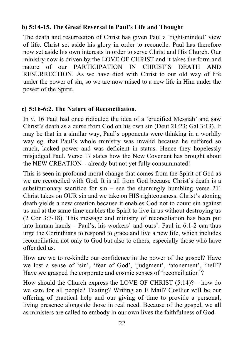#### **b) 5:14-15. The Great Reversal in Paul's Life and Thought**

The death and resurrection of Christ has given Paul a 'right-minded' view of life. Christ set aside his glory in order to reconcile. Paul has therefore now set aside his own interests in order to serve Christ and His Church. Our ministry now is driven by the LOVE OF CHRIST and it takes the form and nature of our PARTICIPATION IN CHRIST'S DEATH AND RESURRECTION. As we have died with Christ to our old way of life under the power of sin, so we are now raised to a new life in Him under the power of the Spirit.

#### **c) 5:16-6:2. The Nature of Reconciliation.**

In v. 16 Paul had once ridiculed the idea of a 'crucified Messiah' and saw Christ's death as a curse from God on his own sin (Deut 21:23; Gal 3:13). It may be that in a similar way, Paul's opponents were thinking in a worldly way eg. that Paul's whole ministry was invalid because he suffered so much, lacked power and was deficient in status. Hence they hopelessly misjudged Paul. Verse 17 states how the New Covenant has brought about the NEW CREATION – already but not yet fully consummated!

This is seen in profound moral change that comes from the Spirit of God as we are reconciled with God. It is all from God because Christ's death is a substitutionary sacrifice for  $sin - sec$  the stunningly humbling verse 21! Christ takes on OUR sin and we take on HIS righteousness. Christ's atoning death yields a new creation because it enables God not to count sin against us and at the same time enables the Spirit to live in us without destroying us (2 Cor 3:7-18). This message and ministry of reconciliation has been put into human hands – Paul's, his workers' and ours'. Paul in 6:1-2 can thus urge the Corinthians to respond to grace and live a new life, which includes reconciliation not only to God but also to others, especially those who have offended us.

How are we to re-kindle our confidence in the power of the gospel? Have we lost a sense of 'sin', 'fear of God', 'judgment', 'atonement', 'hell'? Have we grasped the corporate and cosmic senses of 'reconciliation'?

How should the Church express the LOVE OF CHRIST (5:14)? – how do we care for all people? Texting? Writing an E Mail? Costlier will be our offering of practical help and our giving of time to provide a personal, living presence alongside those in real need. Because of the gospel, we all as ministers are called to embody in our own lives the faithfulness of God.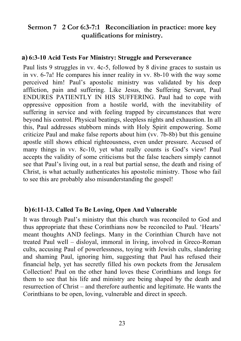#### **Sermon 7 2 Cor 6:3-7:1 Reconciliation in practice: more key qualifications for ministry.**

#### **a) 6:3-10 Acid Tests For Ministry: Struggle and Perseverance**

Paul lists 9 struggles in vv. 4c-5, followed by 8 divine graces to sustain us in vv. 6-7a! He compares his inner reality in vv. 8b-10 with the way some perceived him! Paul's apostolic ministry was validated by his deep affliction, pain and suffering. Like Jesus, the Suffering Servant, Paul ENDURES PATIENTLY IN HIS SUFFERING. Paul had to cope with oppressive opposition from a hostile world, with the inevitability of suffering in service and with feeling trapped by circumstances that were beyond his control. Physical beatings, sleepless nights and exhaustion. In all this, Paul addresses stubborn minds with Holy Spirit empowering. Some criticize Paul and make false reports about him (vv. 7b-8b) but this genuine apostle still shows ethical righteousness, even under pressure. Accused of many things in vv. 8c-10, yet what really counts is God's view! Paul accepts the validity of some criticisms but the false teachers simply cannot see that Paul's living out, in a real but partial sense, the death and rising of Christ, is what actually authenticates his apostolic ministry. Those who fail to see this are probably also misunderstanding the gospel!

#### **b) 6:11-13. Called To Be Loving, Open And Vulnerable**

It was through Paul's ministry that this church was reconciled to God and thus appropriate that these Corinthians now be reconciled to Paul. 'Hearts' meant thoughts AND feelings. Many in the Corinthian Church have not treated Paul well – disloyal, immoral in living, involved in Greco-Roman cults, accusing Paul of powerlessness, toying with Jewish cults, slandering and shaming Paul, ignoring him, suggesting that Paul has refused their financial help, yet has secretly filled his own pockets from the Jerusalem Collection! Paul on the other hand loves these Corinthians and longs for them to see that his life and ministry are being shaped by the death and resurrection of Christ – and therefore authentic and legitimate. He wants the Corinthians to be open, loving, vulnerable and direct in speech.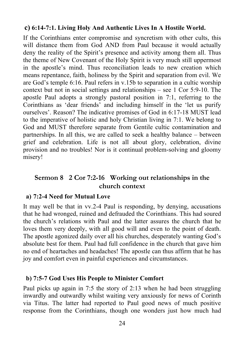#### **c) 6:14-7:1. Living Holy And Authentic Lives In A Hostile World.**

If the Corinthians enter compromise and syncretism with other cults, this will distance them from God AND from Paul because it would actually deny the reality of the Spirit's presence and activity among them all. Thus the theme of New Covenant of the Holy Spirit is very much still uppermost in the apostle's mind. Thus reconciliation leads to new creation which means repentance, faith, holiness by the Spirit and separation from evil. We are God's temple 6:16. Paul refers in v.15b to separation in a cultic worship context but not in social settings and relationships – see 1 Cor 5:9-10. The apostle Paul adopts a strongly pastoral position in 7:1, referring to the Corinthians as 'dear friends' and including himself in the 'let us purify ourselves'. Reason? The indicative promises of God in 6:17-18 MUST lead to the imperative of holistic and holy Christian living in 7:1. We belong to God and MUST therefore separate from Gentile cultic contamination and partnerships. In all this, we are called to seek a healthy balance – between grief and celebration. Life is not all about glory, celebration, divine provision and no troubles! Nor is it continual problem-solving and gloomy misery!

#### **Sermon 8 2 Cor 7:2-16 Working out relationships in the church context**

#### **a) 7:2-4 Need for Mutual Love**

It may well be that in vv.2-4 Paul is responding, by denying, accusations that he had wronged, ruined and defrauded the Corinthians. This had soured the church's relations with Paul and the latter assures the church that he loves them very deeply, with all good will and even to the point of death. The apostle agonized daily over all his churches, desperately wanting God's absolute best for them. Paul had full confidence in the church that gave him no end of heartaches and headaches! The apostle can thus affirm that he has joy and comfort even in painful experiences and circumstances.

#### **b) 7:5-7 God Uses His People to Minister Comfort**

Paul picks up again in 7:5 the story of 2:13 when he had been struggling inwardly and outwardly whilst waiting very anxiously for news of Corinth via Titus. The latter had reported to Paul good news of much positive response from the Corinthians, though one wonders just how much had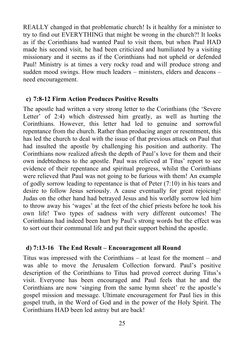REALLY changed in that problematic church! Is it healthy for a minister to try to find out EVERYTHING that might be wrong in the church?! It looks as if the Corinthians had wanted Paul to visit them, but when Paul HAD made his second visit, he had been criticized and humiliated by a visiting missionary and it seems as if the Corinthians had not upheld or defended Paul! Ministry is at times a very rocky road and will produce strong and sudden mood swings. How much leaders – ministers, elders and deacons – need encouragement.

#### **c) 7:8-12 Firm Action Produces Positive Results**

The apostle had written a very strong letter to the Corinthians (the 'Severe Letter' of 2:4) which distressed him greatly, as well as hurting the Corinthians. However, this letter had led to genuine and sorrowful repentance from the church. Rather than producing anger or resentment, this has led the church to deal with the issue of that previous attack on Paul that had insulted the apostle by challenging his position and authority. The Corinthians now realized afresh the depth of Paul's love for them and their own indebtedness to the apostle. Paul was relieved at Titus' report to see evidence of their repentance and spiritual progress, whilst the Corinthians were relieved that Paul was not going to be furious with them! An example of godly sorrow leading to repentance is that of Peter (7:10) in his tears and desire to follow Jesus seriously. A cause eventually for great rejoicing! Judas on the other hand had betrayed Jesus and his worldly sorrow led him to throw away his 'wages' at the feet of the chief priests before he took his own life! Two types of sadness with very different outcomes! The Corinthians had indeed been hurt by Paul's strong words but the effect was to sort out their communal life and put their support behind the apostle.

#### **d) 7:13-16 The End Result – Encouragement all Round**

Titus was impressed with the Corinthians – at least for the moment – and was able to move the Jerusalem Collection forward. Paul's positive description of the Corinthians to Titus had proved correct during Titus's visit. Everyone has been encouraged and Paul feels that he and the Corinthians are now 'singing from the same hymn sheet' re the apostle's gospel mission and message. Ultimate encouragement for Paul lies in this gospel truth, in the Word of God and in the power of the Holy Spirit. The Corinthians HAD been led astray but are back!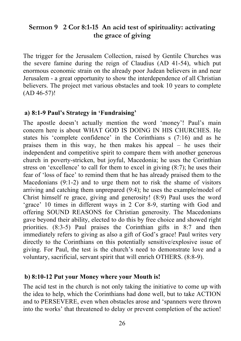#### **Sermon 9 2 Cor 8:1-15 An acid test of spirituality: activating the grace of giving**

The trigger for the Jerusalem Collection, raised by Gentile Churches was the severe famine during the reign of Claudius (AD 41-54), which put enormous economic strain on the already poor Judean believers in and near Jerusalem - a great opportunity to show the interdependence of all Christian believers. The project met various obstacles and took 10 years to complete (AD 46-57)!

#### **a) 8:1-9 Paul's Strategy in 'Fundraising'**

The apostle doesn't actually mention the word 'money'! Paul's main concern here is about WHAT GOD IS DOING IN HIS CHURCHES. He states his 'complete confidence' in the Corinthians s (7:16) and as he praises them in this way, he then makes his appeal – he uses their independent and competitive spirit to compare them with another generous church in poverty-stricken, but joyful, Macedonia; he uses the Corinthian stress on 'excellence' to call for them to excel in giving (8:7); he uses their fear of 'loss of face' to remind them that he has already praised them to the Macedonians (9:1-2) and to urge them not to risk the shame of visitors arriving and catching them unprepared (9:4); he uses the example/model of Christ himself re grace, giving and generosity! (8:9) Paul uses the word 'grace' 10 times in different ways in 2 Cor 8-9, starting with God and offering SOUND REASONS for Christian generosity. The Macedonians gave beyond their ability, elected to do this by free choice and showed right priorities. (8:3-5) Paul praises the Corinthian gifts in 8:7 and then immediately refers to giving as also a gift of God's grace! Paul writes very directly to the Corinthians on this potentially sensitive/explosive issue of giving. For Paul, the test is the church's need to demonstrate love and a voluntary, sacrificial, servant spirit that will enrich OTHERS. (8:8-9).

#### **b) 8:10-12 Put your Money where your Mouth is!**

The acid test in the church is not only taking the initiative to come up with the idea to help, which the Corinthians had done well, but to take ACTION and to PERSEVERE, even when obstacles arose and 'spanners were thrown into the works' that threatened to delay or prevent completion of the action!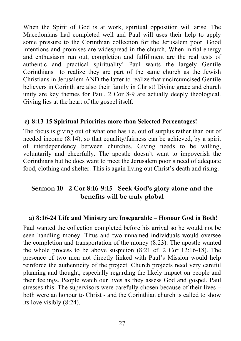When the Spirit of God is at work, spiritual opposition will arise. The Macedonians had completed well and Paul will uses their help to apply some pressure to the Corinthian collection for the Jerusalem poor. Good intentions and promises are widespread in the church. When initial energy and enthusiasm run out, completion and fulfillment are the real tests of authentic and practical spirituality! Paul wants the largely Gentile Corinthians to realize they are part of the same church as the Jewish Christians in Jerusalem AND the latter to realize that uncircumcised Gentile believers in Corinth are also their family in Christ! Divine grace and church unity are key themes for Paul. 2 Cor 8-9 are actually deeply theological. Giving lies at the heart of the gospel itself.

#### **c) 8:13-15 Spiritual Priorities more than Selected Percentages!**

The focus is giving out of what one has i.e. out of surplus rather than out of needed income (8:14), so that equality/fairness can be achieved, by a spirit of interdependency between churches. Giving needs to be willing, voluntarily and cheerfully. The apostle doesn't want to impoverish the Corinthians but he does want to meet the Jerusalem poor's need of adequate food, clothing and shelter. This is again living out Christ's death and rising.

#### **Sermon 10 2 Cor 8:16-9:15 Seek God's glory alone and the benefits will be truly global**

#### **a) 8:16-24 Life and Ministry are Inseparable – Honour God in Both!**

Paul wanted the collection completed before his arrival so he would not be seen handling money. Titus and two unnamed individuals would oversee the completion and transportation of the money (8:23). The apostle wanted the whole process to be above suspicion (8:21 cf. 2 Cor 12:16-18). The presence of two men not directly linked with Paul's Mission would help reinforce the authenticity of the project. Church projects need very careful planning and thought, especially regarding the likely impact on people and their feelings. People watch our lives as they assess God and gospel. Paul stresses this. The supervisors were carefully chosen because of their lives – both were an honour to Christ - and the Corinthian church is called to show its love visibly (8:24).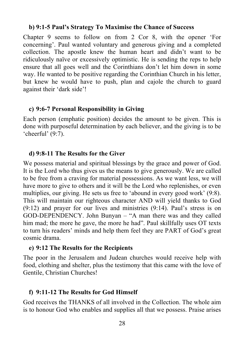#### **b) 9:1-5 Paul's Strategy To Maximise the Chance of Success**

Chapter 9 seems to follow on from 2 Cor 8, with the opener 'For concerning'. Paul wanted voluntary and generous giving and a completed collection. The apostle knew the human heart and didn't want to be ridiculously naïve or excessively optimistic. He is sending the reps to help ensure that all goes well and the Corinthians don't let him down in some way. He wanted to be positive regarding the Corinthian Church in his letter, but knew he would have to push, plan and cajole the church to guard against their 'dark side'!

#### **c) 9:6-7 Personal Responsibility in Giving**

Each person (emphatic position) decides the amount to be given. This is done with purposeful determination by each believer, and the giving is to be 'cheerful' (9:7).

#### **d) 9:8-11 The Results for the Giver**

We possess material and spiritual blessings by the grace and power of God. It is the Lord who thus gives us the means to give generously. We are called to be free from a craving for material possessions. As we want less, we will have more to give to others and it will be the Lord who replenishes, or even multiplies, our giving. He sets us free to 'abound in every good work' (9:8). This will maintain our righteous character AND will yield thanks to God (9:12) and prayer for our lives and ministries (9:14). Paul's stress is on GOD-DEPENDENCY. John Bunyan – "A man there was and they called him mad; the more he gave, the more he had". Paul skillfully uses OT texts to turn his readers' minds and help them feel they are PART of God's great cosmic drama.

#### **e) 9:12 The Results for the Recipients**

The poor in the Jerusalem and Judean churches would receive help with food, clothing and shelter, plus the testimony that this came with the love of Gentile, Christian Churches!

#### **f) 9:11-12 The Results for God Himself**

God receives the THANKS of all involved in the Collection. The whole aim is to honour God who enables and supplies all that we possess. Praise arises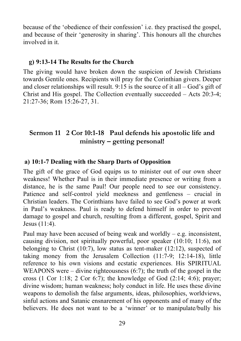because of the 'obedience of their confession' i.e. they practised the gospel, and because of their 'generosity in sharing'. This honours all the churches involved in it.

#### **g) 9:13-14 The Results for the Church**

The giving would have broken down the suspicion of Jewish Christians towards Gentile ones. Recipients will pray for the Corinthian givers. Deeper and closer relationships will result. 9:15 is the source of it all – God's gift of Christ and His gospel. The Collection eventually succeeded – Acts 20:3-4; 21:27-36; Rom 15:26-27, 31.

#### **Sermon 11 2 Cor 10:1-18 Paul defends his apostolic life and ministry – getting personal!**

#### **a) 10:1-7 Dealing with the Sharp Darts of Opposition**

The gift of the grace of God equips us to minister out of our own sheer weakness! Whether Paul is in their immediate presence or writing from a distance, he is the same Paul! Our people need to see our consistency. Patience and self-control yield meekness and gentleness – crucial in Christian leaders. The Corinthians have failed to see God's power at work in Paul's weakness. Paul is ready to defend himself in order to prevent damage to gospel and church, resulting from a different, gospel, Spirit and Jesus (11:4).

Paul may have been accused of being weak and worldly  $-$  e.g. inconsistent, causing division, not spiritually powerful, poor speaker (10:10; 11:6), not belonging to Christ (10:7), low status as tent-maker (12:12), suspected of taking money from the Jerusalem Collection (11:7-9; 12:14-18), little reference to his own visions and ecstatic experiences. His SPIRITUAL WEAPONS were – divine righteousness (6:7); the truth of the gospel in the cross (1 Cor 1:18; 2 Cor 6:7); the knowledge of God  $(2:14; 4:6)$ ; prayer; divine wisdom; human weakness; holy conduct in life. He uses these divine weapons to demolish the false arguments, ideas, philosophies, worldviews, sinful actions and Satanic ensnarement of his opponents and of many of the believers. He does not want to be a 'winner' or to manipulate/bully his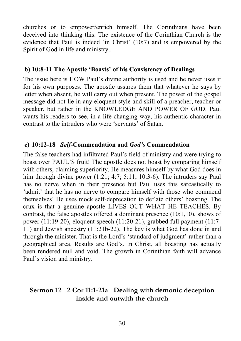churches or to empower/enrich himself. The Corinthians have been deceived into thinking this. The existence of the Corinthian Church is the evidence that Paul is indeed 'in Christ' (10:7) and is empowered by the Spirit of God in life and ministry.

#### **b) 10:8-11 The Apostle 'Boasts' of his Consistency of Dealings**

The issue here is HOW Paul's divine authority is used and he never uses it for his own purposes. The apostle assures them that whatever he says by letter when absent, he will carry out when present. The power of the gospel message did not lie in any eloquent style and skill of a preacher, teacher or speaker, but rather in the KNOWLEDGE AND POWER OF GOD. Paul wants his readers to see, in a life-changing way, his authentic character in contrast to the intruders who were 'servants' of Satan.

#### **c) 10:12-18** *Self***-Commendation and** *God's* **Commendation**

The false teachers had infiltrated Paul's field of ministry and were trying to boast over PAUL'S fruit! The apostle does not boast by comparing himself with others, claiming superiority. He measures himself by what God does in him through divine power (1:21; 4:7; 5:11; 10:3-6). The intruders say Paul has no nerve when in their presence but Paul uses this sarcastically to 'admit' that he has no nerve to compare himself with those who commend themselves! He uses mock self-deprecation to deflate others' boasting. The crux is that a genuine apostle LIVES OUT WHAT HE TEACHES. By contrast, the false apostles offered a dominant presence (10:1,10), shows of power (11:19-20), eloquent speech (11:20-21), grabbed full payment (11:7- 11) and Jewish ancestry (11:21b-22). The key is what God has done in and through the minister. That is the Lord's 'standard of judgment' rather than a geographical area. Results are God's. In Christ, all boasting has actually been rendered null and void. The growth in Corinthian faith will advance Paul's vision and ministry.

#### **Sermon 12 2 Cor 11:1-21a Dealing with demonic deception inside and outwith the church**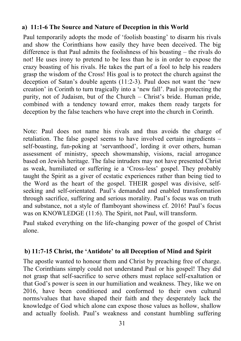#### **a) 11:1-6 The Source and Nature of Deception in this World**

Paul temporarily adopts the mode of 'foolish boasting' to disarm his rivals and show the Corinthians how easily they have been deceived. The big difference is that Paul admits the foolishness of his boasting – the rivals do not! He uses irony to pretend to be less than he is in order to expose the crazy boasting of his rivals. He takes the part of a fool to help his readers grasp the wisdom of the Cross! His goal is to protect the church against the deception of Satan's double agents (11:2-3). Paul does not want the 'new creation' in Corinth to turn tragically into a 'new fall'. Paul is protecting the purity, not of Judaism, but of the Church – Christ's bride. Human pride, combined with a tendency toward error, makes them ready targets for deception by the false teachers who have crept into the church in Corinth.

Note: Paul does not name his rivals and thus avoids the charge of retaliation. The false gospel seems to have involved certain ingredients – self-boasting, fun-poking at 'servanthood', lording it over others, human assessment of ministry, speech showmanship, visions, racial arrogance based on Jewish heritage. The false intruders may not have presented Christ as weak, humiliated or suffering ie a 'Cross-less' gospel. They probably taught the Spirit as a giver of ecstatic experiences rather than being tied to the Word as the heart of the gospel. THEIR gospel was divisive, selfseeking and self-orientated. Paul's demanded and enabled transformation through sacrifice, suffering and serious morality. Paul's focus was on truth and substance, not a style of flamboyant showiness cf. 2016! Paul's focus was on KNOWLEDGE (11:6). The Spirit, not Paul, will transform.

Paul staked everything on the life-changing power of the gospel of Christ alone.

#### **b) 11:7-15 Christ, the 'Antidote' to all Deception of Mind and Spirit**

The apostle wanted to honour them and Christ by preaching free of charge. The Corinthians simply could not understand Paul or his gospel! They did not grasp that self-sacrifice to serve others must replace self-exaltation or that God's power is seen in our humiliation and weakness. They, like we on 2016, have been conditioned and conformed to their own cultural norms/values that have shaped their faith and they desperately lack the knowledge of God which alone can expose those values as hollow, shallow and actually foolish. Paul's weakness and constant humbling suffering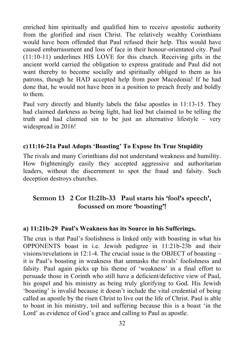enriched him spiritually and qualified him to receive apostolic authority from the glorified and risen Christ. The relatively wealthy Corinthians would have been offended that Paul refused their help. This would have caused embarrassment and loss of face in their honour-orientated city. Paul (11:10-11) underlines HIS LOVE for this church. Receiving gifts in the ancient world carried the obligation to express gratitude and Paul did not want thereby to become socially and spiritually obliged to them as his patrons, though he HAD accepted help from poor Macedonia! If he had done that, he would not have been in a position to preach freely and boldly to them.

Paul very directly and bluntly labels the false apostles in 11:13-15. They had claimed darkness as being light, had lied but claimed to be telling the truth and had claimed sin to be just an alternative lifestyle – very widespread in 2016!

#### **c)11:16-21a Paul Adopts 'Boasting' To Expose Its True Stupidity**

The rivals and many Corinthians did not understand weakness and humility. How frighteningly easily they accepted aggressive and authoritarian leaders, without the discernment to spot the fraud and falsity. Such deception destroys churches.

#### **Sermon 13 2 Cor 11:21b-33 Paul starts his 'fool's speech', focussed on more 'boasting'!**

#### **a) 11:21b-29 Paul's Weakness has its Source in his Sufferings.**

The crux is that Paul's foolishness is linked only with boasting in what his OPPONENTS boast in i.e. Jewish pedigree in 11:21b-23b and their visions/revelations in 12:1-4. The crucial issue is the OBJECT of boasting – it is Paul's boasting in weakness that unmasks the rivals' foolishness and falsity. Paul again picks up his theme of 'weakness' in a final effort to persuade those in Corinth who still have a deficient/defective view of Paul, his gospel and his ministry as being truly glorifying to God. His Jewish 'boasting' is invalid because it doesn't include the vital credential of being called as apostle by the risen Christ to live out the life of Christ. Paul is able to boast in his ministry, toil and suffering because this is a boast 'in the Lord' as evidence of God's grace and calling to Paul as apostle.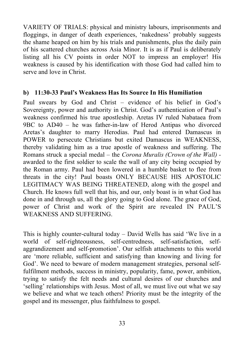VARIETY OF TRIALS: physical and ministry labours, imprisonments and floggings, in danger of death experiences, 'nakedness' probably suggests the shame heaped on him by his trials and punishments, plus the daily pain of his scattered churches across Asia Minor. It is as if Paul is deliberately listing all his CV points in order NOT to impress an employer! His weakness is caused by his identification with those God had called him to serve and love in Christ.

#### **b) 11:30-33 Paul's Weakness Has Its Source In His Humiliation**

Paul swears by God and Christ – evidence of his belief in God's Sovereignty, power and authority in Christ. God's authentication of Paul's weakness confirmed his true apostleship. Aretas IV ruled Nabataea from 9BC to AD40 – he was father-in-law of Herod Antipas who divorced Aretas's daughter to marry Herodias. Paul had entered Damascus in POWER to persecute Christians but exited Damascus in WEAKNESS, thereby validating him as a true apostle of weakness and suffering. The Romans struck a special medal – the *Corona Muralis (Crown of the Wall)*  awarded to the first soldier to scale the wall of any city being occupied by the Roman army. Paul had been lowered in a humble basket to flee from threats in the city! Paul boasts ONLY BECAUSE HIS APOSTOLIC LEGITIMACY WAS BEING THREATENED, along with the gospel and Church. He knows full well that his, and our, only boast is in what God has done in and through us, all the glory going to God alone. The grace of God, power of Christ and work of the Spirit are revealed IN PAUL'S WEAKNESS AND SUFFERING.

This is highly counter-cultural today – David Wells has said 'We live in a world of self-righteousness, self-centredness, self-satisfaction, selfaggrandizement and self-promotion'. Our selfish attachments to this world are 'more reliable, sufficient and satisfying than knowing and living for God'. We need to beware of modern management strategies, personal selffulfilment methods, success in ministry, popularity, fame, power, ambition, trying to satisfy the felt needs and cultural desires of our churches and 'selling' relationships with Jesus. Most of all, we must live out what we say we believe and what we teach others! Priority must be the integrity of the gospel and its messenger, plus faithfulness to gospel.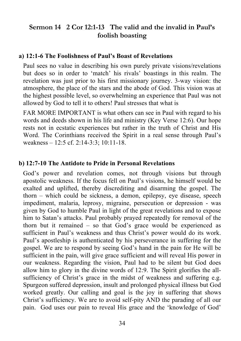#### **Sermon 14 2 Cor 12:1-13 The valid and the invalid in Paul's foolish boasting**

#### **a) 12:1-6 The Foolishness of Paul's Boast of Revelations**

Paul sees no value in describing his own purely private visions/revelations but does so in order to 'match' his rivals' boastings in this realm. The revelation was just prior to his first missionary journey. 3-way vision: the atmosphere, the place of the stars and the abode of God. This vision was at the highest possible level, so overwhelming an experience that Paul was not allowed by God to tell it to others! Paul stresses that what is

FAR MORE IMPORTANT is what others can see in Paul with regard to his words and deeds shown in his life and ministry (Key Verse 12:6). Our hope rests not in ecstatic experiences but rather in the truth of Christ and His Word. The Corinthians received the Spirit in a real sense through Paul's weakness – 12:5 cf. 2:14-3:3; 10:11-18.

#### **b) 12:7-10 The Antidote to Pride in Personal Revelations**

God's power and revelation comes, not through visions but through apostolic weakness. If the focus fell on Paul's visions, he himself would be exalted and uplifted, thereby discrediting and disarming the gospel. The thorn – which could be sickness, a demon, epilepsy, eye disease, speech impediment, malaria, leprosy, migraine, persecution or depression - was given by God to humble Paul in light of the great revelations and to expose him to Satan's attacks. Paul probably prayed repeatedly for removal of the thorn but it remained – so that God's grace would be experienced as sufficient in Paul's weakness and thus Christ's power would do its work. Paul's apostleship is authenticated by his perseverance in suffering for the gospel. We are to respond by seeing God's hand in the pain for He will be sufficient in the pain, will give grace sufficient and will reveal His power in our weakness. Regarding the vision, Paul had to be silent but God does allow him to glory in the divine words of 12:9. The Spirit glorifies the allsufficiency of Christ's grace in the midst of weakness and suffering e.g. Spurgeon suffered depression, insult and prolonged physical illness but God worked greatly. Our calling and goal is the joy in suffering that shows Christ's sufficiency. We are to avoid self-pity AND the parading of all our pain. God uses our pain to reveal His grace and the 'knowledge of God'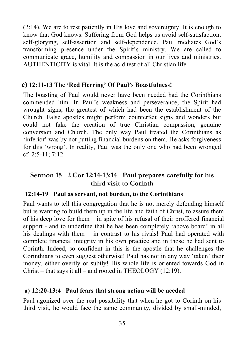(2:14). We are to rest patiently in His love and sovereignty. It is enough to know that God knows. Suffering from God helps us avoid self-satisfaction, self-glorying, self-assertion and self-dependence. Paul mediates God's transforming presence under the Spirit's ministry. We are called to communicate grace, humility and compassion in our lives and ministries. AUTHENTICITY is vital. It is the acid test of all Christian life

#### **c) 12:11-13 The 'Red Herring' Of Paul's Boastfulness!**

The boasting of Paul would never have been needed had the Corinthians commended him. In Paul's weakness and perseverance, the Spirit had wrought signs, the greatest of which had been the establishment of the Church. False apostles might perform counterfeit signs and wonders but could not fake the creation of true Christian compassion, genuine conversion and Church. The only way Paul treated the Corinthians as 'inferior' was by not putting financial burdens on them. He asks forgiveness for this 'wrong'. In reality, Paul was the only one who had been wronged cf. 2:5-11; 7:12.

#### **Sermon 15 2 Cor 12:14-13:14 Paul prepares carefully for his third visit to Corinth**

#### **12:14-19 Paul as servant, not burden, to the Corinthians**

Paul wants to tell this congregation that he is not merely defending himself but is wanting to build them up in the life and faith of Christ, to assure them of his deep love for them – in spite of his refusal of their proffered financial support - and to underline that he has been completely 'above board' in all his dealings with them – in contrast to his rivals! Paul had operated with complete financial integrity in his own practice and in those he had sent to Corinth. Indeed, so confident in this is the apostle that he challenges the Corinthians to even suggest otherwise! Paul has not in any way 'taken' their money, either overtly or subtly! His whole life is oriented towards God in Christ – that says it all – and rooted in THEOLOGY (12:19).

#### **a) 12:20-13:4 Paul fears that strong action will be needed**

Paul agonized over the real possibility that when he got to Corinth on his third visit, he would face the same community, divided by small-minded,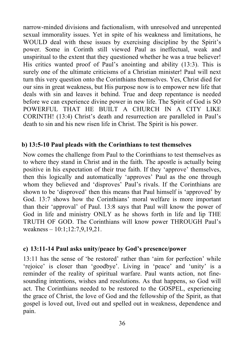narrow-minded divisions and factionalism, with unresolved and unrepented sexual immorality issues. Yet in spite of his weakness and limitations, he WOULD deal with these issues by exercising discipline by the Spirit's power. Some in Corinth still viewed Paul as ineffectual, weak and unspiritual to the extent that they questioned whether he was a true believer! His critics wanted proof of Paul's anointing and ability (13:3). This is surely one of the ultimate criticisms of a Christian minister! Paul will next turn this very question onto the Corinthians themselves. Yes, Christ died for our sins in great weakness, but His purpose now is to empower new life that deals with sin and leaves it behind. True and deep repentance is needed before we can experience divine power in new life. The Spirit of God is SO POWERFUL THAT HE BUILT A CHURCH IN A CITY LIKE CORINTH! (13:4) Christ's death and resurrection are paralleled in Paul's death to sin and his new risen life in Christ. The Spirit is his power.

#### **b) 13:5-10 Paul pleads with the Corinthians to test themselves**

Now comes the challenge from Paul to the Corinthians to test themselves as to where they stand in Christ and in the faith. The apostle is actually being positive in his expectation of their true faith. If they 'approve' themselves, then this logically and automatically 'approves' Paul as the one through whom they believed and 'disproves' Paul's rivals. If the Corinthians are shown to be 'disproved' then this means that Paul himself is 'approved' by God. 13:7 shows how the Corinthians' moral welfare is more important than their 'approval' of Paul. 13:8 says that Paul will know the power of God in life and ministry ONLY as he shows forth in life and lip THE TRUTH OF GOD. The Corinthians will know power THROUGH Paul's weakness – 10:1;12:7,9,19,21.

#### **c) 13:11-14 Paul asks unity/peace by God's presence/power**

13:11 has the sense of 'be restored' rather than 'aim for perfection' while 'rejoice' is closer than 'goodbye'. Living in 'peace' and 'unity' is a reminder of the reality of spiritual warfare. Paul wants action, not finesounding intentions, wishes and resolutions. As that happens, so God will act. The Corinthians needed to be restored to the GOSPEL, experiencing the grace of Christ, the love of God and the fellowship of the Spirit, as that gospel is loved out, lived out and spelled out in weakness, dependence and pain.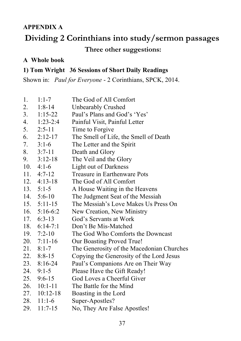#### **APPENDIX A**

## **Dividing 2 Corinthians into study/sermon passages**

#### **Three other suggestions:**

#### **A Whole book**

#### **1) Tom Wright 36 Sessions of Short Daily Readings**

Shown in: *Paul for Everyone* - 2 Corinthians, SPCK, 2014.

| 1.  | $1:1 - 7$           | The God of All Comfort                    |
|-----|---------------------|-------------------------------------------|
|     | 2. $1:8-14$         | Unbearably Crushed                        |
|     | $3. 1:15-22$        | Paul's Plans and God's 'Yes'              |
|     | 4. $1:23-2:4$       | Painful Visit, Painful Letter             |
|     | $5. \quad 2:5-11$   | Time to Forgive                           |
|     | 6. $2:12-17$        | The Smell of Life, the Smell of Death     |
|     | $7. 3:1-6$          | The Letter and the Spirit                 |
|     | $8. 3:7-11$         | Death and Glory                           |
|     | $9. \quad 3:12-18$  | The Veil and the Glory                    |
|     | 10. $4:1-6$         | Light out of Darkness                     |
|     | 11. $4:7-12$        | Treasure in Earthenware Pots              |
|     | $12. \quad 4:13-18$ | The God of All Comfort                    |
|     | 13. $5:1-5$         | A House Waiting in the Heavens            |
|     | 14. $5:6-10$        | The Judgment Seat of the Messiah          |
|     | $15. 5:11-15$       | The Messiah's Love Makes Us Press On      |
|     | 16. $5:16-6:2$      | New Creation, New Ministry                |
|     | 17. $6:3-13$        | God's Servants at Work                    |
|     | 18. $6:14-7:1$      | Don't Be Mis-Matched                      |
|     | 19. $7:2-10$        | The God Who Comforts the Downcast         |
|     | $20.7:11-16$        | Our Boasting Proved True!                 |
|     | $21.8:1-7$          | The Generosity of the Macedonian Churches |
|     | 22. 8:8-15          | Copying the Generosity of the Lord Jesus  |
|     | $23.8:16-24$        | Paul's Companions Are on Their Way        |
|     | $24.9:1-5$          | Please Have the Gift Ready!               |
| 25. | $9:6 - 15$          | God Loves a Cheerful Giver                |
| 26. | $10:1 - 11$         | The Battle for the Mind                   |
| 27. | $10:12-18$          | Boasting in the Lord                      |
| 28. | $11:1-6$            | Super-Apostles?                           |
| 29. | $11:7-15$           | No, They Are False Apostles!              |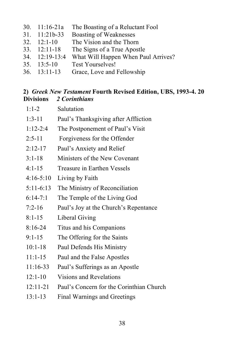30. 11:16-21a The Boasting of a Reluctant Fool 31. 11:21b-33 Boasting of Weaknesses 32. 12:1-10 The Vision and the Thorn 33. 12:11-18 The Signs of a True Apostle 34. 12:19-13:4 What Will Happen When Paul Arrives? 35. 13:5-10 Test Yourselves! 36. 13:11-13 Grace, Love and Fellowship

#### **2)** *Greek New Testament* **Fourth Revised Edition, UBS, 1993-4. 20 Divisions** *2 Corinthians*

| $1:1-2$       | Salutation                               |
|---------------|------------------------------------------|
| $1:3-11$      | Paul's Thanksgiving after Affliction     |
| $1:12-2:4$    | The Postponement of Paul's Visit         |
| $2:5 - 11$    | Forgiveness for the Offender             |
| $2:12-17$     | Paul's Anxiety and Relief                |
| $3:1-18$      | Ministers of the New Covenant            |
| $4:1 - 15$    | <b>Treasure in Earthen Vessels</b>       |
| $4:16 - 5:10$ | Living by Faith                          |
| $5:11-6:13$   | The Ministry of Reconciliation           |
| $6:14-7:1$    | The Temple of the Living God             |
| $7:2-16$      | Paul's Joy at the Church's Repentance    |
| $8:1-15$      | Liberal Giving                           |
| $8:16-24$     | Titus and his Companions                 |
| $9:1 - 15$    | The Offering for the Saints              |
| $10:1 - 18$   | Paul Defends His Ministry                |
| $11:1-15$     | Paul and the False Apostles              |
| $11:16-33$    | Paul's Sufferings as an Apostle          |
| $12:1 - 10$   | <b>Visions and Revelations</b>           |
| $12:11 - 21$  | Paul's Concern for the Corinthian Church |
| $13:1-13$     | <b>Final Warnings and Greetings</b>      |